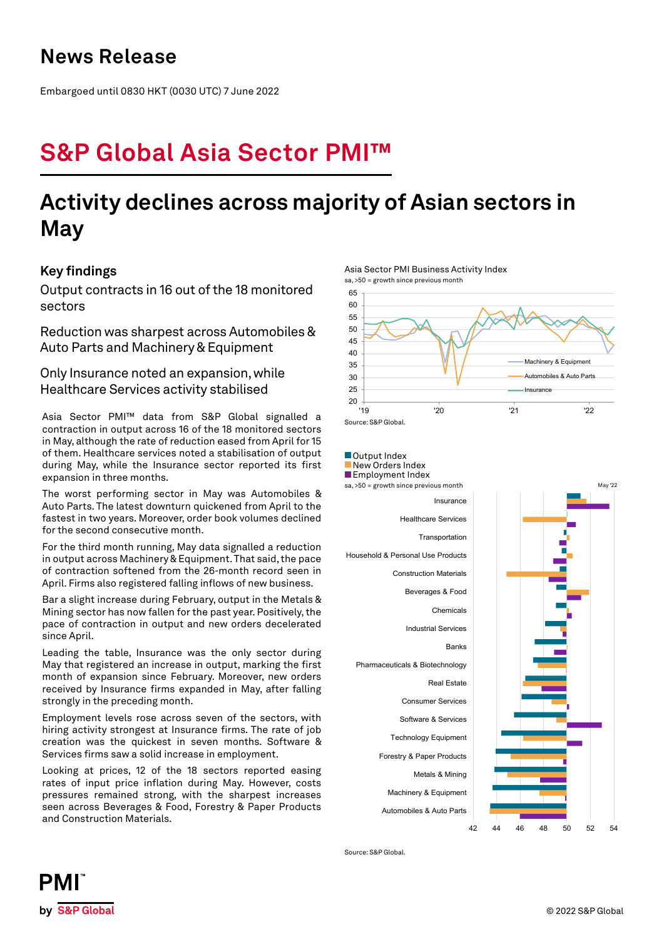## **News Release**

Embargoed until 0830 HKT (0030 UTC) 7 June 2022

# **S&P Global Asia Sector PMI™**

## **Activity declines across majority of Asian sectors in May**

## **Key findings**

Output contracts in 16 out of the 18 monitored sectors

Reduction was sharpest across Automobiles & Auto Parts and Machinery & Equipment

Only Insurance noted an expansion, while Healthcare Services activity stabilised

Asia Sector PMI™ data from S&P Global signalled a contraction in output across 16 of the 18 monitored sectors in May, although the rate of reduction eased from April for 15 of them. Healthcare services noted a stabilisation of output during May, while the Insurance sector reported its first expansion in three months.

The worst performing sector in May was Automobiles & Auto Parts. The latest downturn quickened from April to the fastest in two years. Moreover, order book volumes declined for the second consecutive month.

For the third month running, May data signalled a reduction in output across Machinery & Equipment. That said, the pace of contraction softened from the 26-month record seen in April. Firms also registered falling inflows of new business.

Bar a slight increase during February, output in the Metals & Mining sector has now fallen for the past year. Positively, the pace of contraction in output and new orders decelerated since April.

Leading the table, Insurance was the only sector during May that registered an increase in output, marking the first month of expansion since February. Moreover, new orders received by Insurance firms expanded in May, after falling strongly in the preceding month.

Employment levels rose across seven of the sectors, with hiring activity strongest at Insurance firms. The rate of job creation was the quickest in seven months. Software & Services firms saw a solid increase in employment.

Looking at prices, 12 of the 18 sectors reported easing rates of input price inflation during May. However, costs pressures remained strong, with the sharpest increases seen across Beverages & Food, Forestry & Paper Products and Construction Materials.



Asia Sector PMI Business Activity Index



Source: S&P Global.